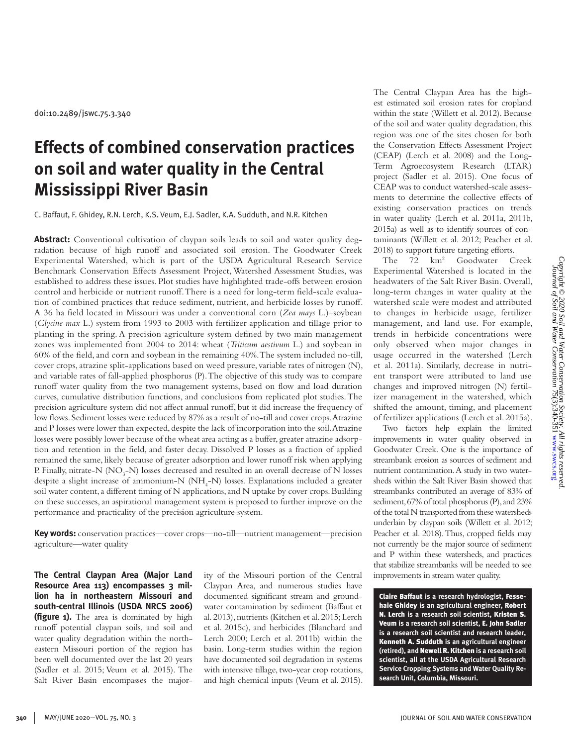doi:10.2489/jswc.75.3.340

# **Effects of combined conservation practices on soil and water quality in the Central Mississippi River Basin**

C. Baffaut, F. Ghidey, R.N. Lerch, K.S. Veum, E.J. Sadler, K.A. Sudduth, and N.R. Kitchen

**Abstract:** Conventional cultivation of claypan soils leads to soil and water quality degradation because of high runoff and associated soil erosion. The Goodwater Creek Experimental Watershed, which is part of the USDA Agricultural Research Service Benchmark Conservation Effects Assessment Project, Watershed Assessment Studies, was established to address these issues. Plot studies have highlighted trade-offs between erosion control and herbicide or nutrient runoff. There is a need for long-term field-scale evaluation of combined practices that reduce sediment, nutrient, and herbicide losses by runoff. A 36 ha field located in Missouri was under a conventional corn (*Zea mays* L.)–soybean (*Glycine max* L.) system from 1993 to 2003 with fertilizer application and tillage prior to planting in the spring. A precision agriculture system defined by two main management zones was implemented from 2004 to 2014: wheat (*Triticum aestivum* L.) and soybean in 60% of the field, and corn and soybean in the remaining 40%. The system included no-till, cover crops, atrazine split-applications based on weed pressure, variable rates of nitrogen (N), and variable rates of fall-applied phosphorus (P). The objective of this study was to compare runoff water quality from the two management systems, based on flow and load duration curves, cumulative distribution functions, and conclusions from replicated plot studies. The precision agriculture system did not affect annual runoff, but it did increase the frequency of low flows. Sediment losses were reduced by 87% as a result of no-till and cover crops. Atrazine and P losses were lower than expected, despite the lack of incorporation into the soil. Atrazine losses were possibly lower because of the wheat area acting as a buffer, greater atrazine adsorption and retention in the field, and faster decay. Dissolved P losses as a fraction of applied remained the same, likely because of greater adsorption and lower runoff risk when applying P. Finally, nitrate-N ( $\rm NO_3$ -N) losses decreased and resulted in an overall decrease of N losses despite a slight increase of ammonium-N (NH<sub>4</sub>-N) losses. Explanations included a greater soil water content, a different timing of N applications, and N uptake by cover crops. Building on these successes, an aspirational management system is proposed to further improve on the performance and practicality of the precision agriculture system.

**Key words:** conservation practices—cover crops—no-till—nutrient management—precision agriculture—water quality

**The Central Claypan Area (Major Land Resource Area 113) encompasses 3 million ha in northeastern Missouri and south-central Illinois (USDA NRCS 2006) (figure 1).** The area is dominated by high runoff potential claypan soils, and soil and water quality degradation within the northeastern Missouri portion of the region has been well documented over the last 20 years (Sadler et al. 2015; Veum et al. 2015). The Salt River Basin encompasses the majority of the Missouri portion of the Central Claypan Area, and numerous studies have documented significant stream and groundwater contamination by sediment (Baffaut et al. 2013), nutrients (Kitchen et al. 2015; Lerch et al. 2015c), and herbicides (Blanchard and Lerch 2000; Lerch et al. 2011b) within the basin. Long-term studies within the region have documented soil degradation in systems with intensive tillage, two-year crop rotations, and high chemical inputs (Veum et al. 2015). The Central Claypan Area has the highest estimated soil erosion rates for cropland within the state (Willett et al. 2012). Because of the soil and water quality degradation, this region was one of the sites chosen for both the Conservation Effects Assessment Project (CEAP) (Lerch et al. 2008) and the Long-Term Agroecosystem Research (LTAR) project (Sadler et al. 2015). One focus of CEAP was to conduct watershed-scale assessments to determine the collective effects of existing conservation practices on trends in water quality (Lerch et al. 2011a, 2011b, 2015a) as well as to identify sources of contaminants (Willett et al. 2012; Peacher et al. 2018) to support future targeting efforts.

The 72 km2 Goodwater Creek Experimental Watershed is located in the headwaters of the Salt River Basin. Overall, long-term changes in water quality at the watershed scale were modest and attributed to changes in herbicide usage, fertilizer management, and land use. For example, trends in herbicide concentrations were only observed when major changes in usage occurred in the watershed (Lerch et al. 2011a). Similarly, decrease in nutrient transport were attributed to land use changes and improved nitrogen (N) fertilizer management in the watershed, which shifted the amount, timing, and placement of fertilizer applications (Lerch et al. 2015a).

Two factors help explain the limited improvements in water quality observed in Goodwater Creek. One is the importance of streambank erosion as sources of sediment and nutrient contamination. A study in two watersheds within the Salt River Basin showed that streambanks contributed an average of 83% of sediment, 67% of total phosphorus (P), and 23% of the total N transported from these watersheds underlain by claypan soils (Willett et al. 2012; Peacher et al. 2018). Thus, cropped fields may not currently be the major source of sediment and P within these watersheds, and practices that stabilize streambanks will be needed to see improvements in stream water quality.

Claire Baffaut **is a research hydrologist,** Fessehaie Ghidey **is an agricultural engineer,** Robert N. Lerch **is a research soil scientist,** Kristen S. Veum **is a research soil scientist,** E. John Sadler **is a research soil scientist and research leader,**  Kenneth A. Sudduth **is an agricultural engineer (retired), and** Newell R. Kitchen **is a research soil scientist, all at the USDA Agricultural Research Service Cropping Systems and Water Quality Research Unit, Columbia, Missouri.**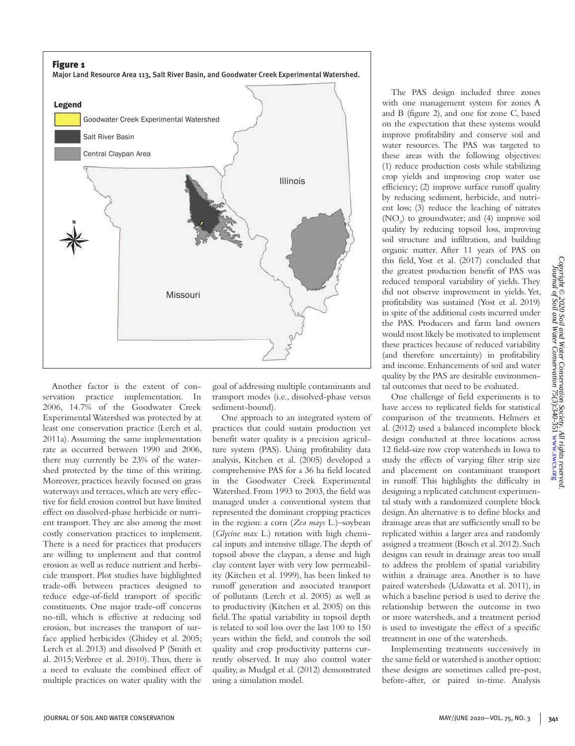

Another factor is the extent of conservation practice implementation. In 2006, 14.7% of the Goodwater Creek Experimental Watershed was protected by at least one conservation practice (Lerch et al. 2011a). Assuming the same implementation rate as occurred between 1990 and 2006, there may currently be 23% of the watershed protected by the time of this writing. Moreover, practices heavily focused on grass waterways and terraces, which are very effective for field erosion control but have limited effect on dissolved-phase herbicide or nutrient transport. They are also among the most costly conservation practices to implement. There is a need for practices that producers are willing to implement and that control erosion as well as reduce nutrient and herbicide transport. Plot studies have highlighted trade-offs between practices designed to reduce edge-of-field transport of specific constituents. One major trade-off concerns no-till, which is effective at reducing soil erosion, but increases the transport of surface applied herbicides (Ghidey et al. 2005; Lerch et al. 2013) and dissolved P (Smith et al. 2015; Verbree et al. 2010). Thus, there is a need to evaluate the combined effect of multiple practices on water quality with the

goal of addressing multiple contaminants and transport modes (i.e., dissolved-phase versus sediment-bound).

One approach to an integrated system of practices that could sustain production yet benefit water quality is a precision agriculture system (PAS). Using profitability data analysis, Kitchen et al. (2005) developed a comprehensive PAS for a 36 ha field located in the Goodwater Creek Experimental Watershed. From 1993 to 2003, the field was managed under a conventional system that represented the dominant cropping practices in the region: a corn (*Zea mays* L.)–soybean (*Glycine max* L.) rotation with high chemical inputs and intensive tillage. The depth of topsoil above the claypan, a dense and high clay content layer with very low permeability (Kitchen et al. 1999), has been linked to runoff generation and associated transport of pollutants (Lerch et al. 2005) as well as to productivity (Kitchen et al. 2005) on this field. The spatial variability in topsoil depth is related to soil loss over the last 100 to 150 years within the field, and controls the soil quality and crop productivity patterns currently observed. It may also control water quality, as Mudgal et al. (2012) demonstrated using a simulation model.

The PAS design included three zones with one management system for zones A and B (figure 2), and one for zone C, based on the expectation that these systems would improve profitability and conserve soil and water resources. The PAS was targeted to these areas with the following objectives: (1) reduce production costs while stabilizing crop yields and improving crop water use efficiency; (2) improve surface runoff quality by reducing sediment, herbicide, and nutrient loss; (3) reduce the leaching of nitrates  $(NO<sub>3</sub>)$  to groundwater; and (4) improve soil quality by reducing topsoil loss, improving soil structure and infiltration, and building organic matter. After 11 years of PAS on this field, Yost et al. (2017) concluded that the greatest production benefit of PAS was reduced temporal variability of yields. They did not observe improvement in yields. Yet, profitability was sustained (Yost et al. 2019) in spite of the additional costs incurred under the PAS. Producers and farm land owners would most likely be motivated to implement these practices because of reduced variability (and therefore uncertainty) in profitability and income. Enhancements of soil and water quality by the PAS are desirable environmental outcomes that need to be evaluated.

One challenge of field experiments is to have access to replicated fields for statistical comparison of the treatments. Helmers et al. (2012) used a balanced incomplete block design conducted at three locations across 12 field-size row crop watersheds in Iowa to study the effects of varying filter strip size and placement on contaminant transport in runoff. This highlights the difficulty in designing a replicated catchment experimental study with a randomized complete block design. An alternative is to define blocks and drainage areas that are sufficiently small to be replicated within a larger area and randomly assigned a treatment (Bosch et al. 2012). Such designs can result in drainage areas too small to address the problem of spatial variability within a drainage area. Another is to have paired watersheds (Udawatta et al. 2011), in which a baseline period is used to derive the relationship between the outcome in two or more watersheds, and a treatment period is used to investigate the effect of a specific treatment in one of the watersheds.

Implementing treatments successively in the same field or watershed is another option: these designs are sometimes called pre-post, before-after, or paired in-time. Analysis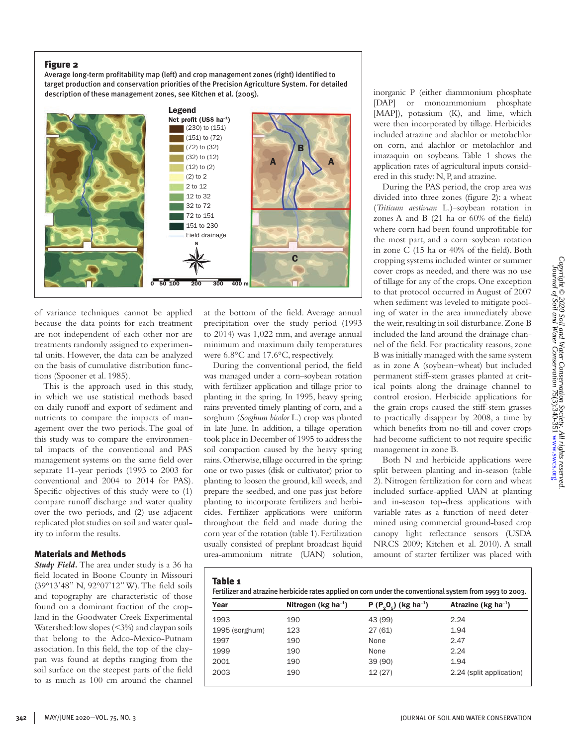## Figure 2

Average long-term profitability map (left) and crop management zones (right) identified to target production and conservation priorities of the Precision Agriculture System. For detailed description of these management zones, see Kitchen et al. (2005).



of variance techniques cannot be applied because the data points for each treatment are not independent of each other nor are treatments randomly assigned to experimental units. However, the data can be analyzed on the basis of cumulative distribution functions (Spooner et al. 1985).

This is the approach used in this study, in which we use statistical methods based on daily runoff and export of sediment and nutrients to compare the impacts of management over the two periods. The goal of this study was to compare the environmental impacts of the conventional and PAS management systems on the same field over separate 11-year periods (1993 to 2003 for conventional and 2004 to 2014 for PAS). Specific objectives of this study were to (1) compare runoff discharge and water quality over the two periods, and (2) use adjacent replicated plot studies on soil and water quality to inform the results.

### Materials and Methods

*Study Field.* The area under study is a 36 ha field located in Boone County in Missouri (39°13'48" N, 92°07'12" W). The field soils and topography are characteristic of those found on a dominant fraction of the cropland in the Goodwater Creek Experimental Watershed: low slopes (<3%) and claypan soils that belong to the Adco-Mexico-Putnam association. In this field, the top of the claypan was found at depths ranging from the soil surface on the steepest parts of the field to as much as 100 cm around the channel

at the bottom of the field. Average annual precipitation over the study period (1993 to 2014) was 1,022 mm, and average annual minimum and maximum daily temperatures were 6.8°C and 17.6°C, respectively.

During the conventional period, the field was managed under a corn–soybean rotation with fertilizer application and tillage prior to planting in the spring. In 1995, heavy spring rains prevented timely planting of corn, and a sorghum (*Sorghum bicolor* L.) crop was planted in late June. In addition, a tillage operation took place in December of 1995 to address the soil compaction caused by the heavy spring rains. Otherwise, tillage occurred in the spring: one or two passes (disk or cultivator) prior to planting to loosen the ground, kill weeds, and prepare the seedbed, and one pass just before planting to incorporate fertilizers and herbicides. Fertilizer applications were uniform throughout the field and made during the corn year of the rotation (table 1). Fertilization usually consisted of preplant broadcast liquid urea-ammonium nitrate (UAN) solution, inorganic P (either diammonium phosphate [DAP] or monoammonium phosphate [MAP]), potassium (K), and lime, which were then incorporated by tillage. Herbicides included atrazine and alachlor or metolachlor on corn, and alachlor or metolachlor and imazaquin on soybeans. Table 1 shows the application rates of agricultural inputs considered in this study: N, P, and atrazine.

During the PAS period, the crop area was divided into three zones (figure 2): a wheat (*Triticum aestivum* L.)–soybean rotation in zones A and B (21 ha or 60% of the field) where corn had been found unprofitable for the most part, and a corn–soybean rotation in zone C (15 ha or 40% of the field). Both cropping systems included winter or summer cover crops as needed, and there was no use of tillage for any of the crops. One exception to that protocol occurred in August of 2007 when sediment was leveled to mitigate pooling of water in the area immediately above the weir, resulting in soil disturbance. Zone B included the land around the drainage channel of the field. For practicality reasons, zone B was initially managed with the same system as in zone A (soybean–wheat) but included permanent stiff-stem grasses planted at critical points along the drainage channel to control erosion. Herbicide applications for the grain crops caused the stiff-stem grasses to practically disappear by 2008, a time by which benefits from no-till and cover crops had become sufficient to not require specific management in zone B.

Both N and herbicide applications were split between planting and in-season (table 2). Nitrogen fertilization for corn and wheat included surface-applied UAN at planting and in-season top-dress applications with variable rates as a function of need determined using commercial ground-based crop canopy light reflectance sensors (USDA NRCS 2009; Kitchen et al. 2010). A small amount of starter fertilizer was placed with

#### Table 1

Fertilizer and atrazine herbicide rates applied on corn under the conventional system from 1993 to 2003.

| Year           | Nitrogen (kg ha $^{-1}$ ) | $P(P_2O_5)$ (kg ha <sup>-1</sup> ) | Atrazine ( $kg$ ha <sup>-1</sup> ) |
|----------------|---------------------------|------------------------------------|------------------------------------|
| 1993           | 190                       | 43 (99)                            | 2.24                               |
| 1995 (sorghum) | 123                       | 27(61)                             | 1.94                               |
| 1997           | 190                       | None                               | 2.47                               |
| 1999           | 190                       | None                               | 2.24                               |
| 2001           | 190                       | 39(90)                             | 1.94                               |
| 2003           | 190                       | 12(27)                             | 2.24 (split application)           |
|                |                           |                                    |                                    |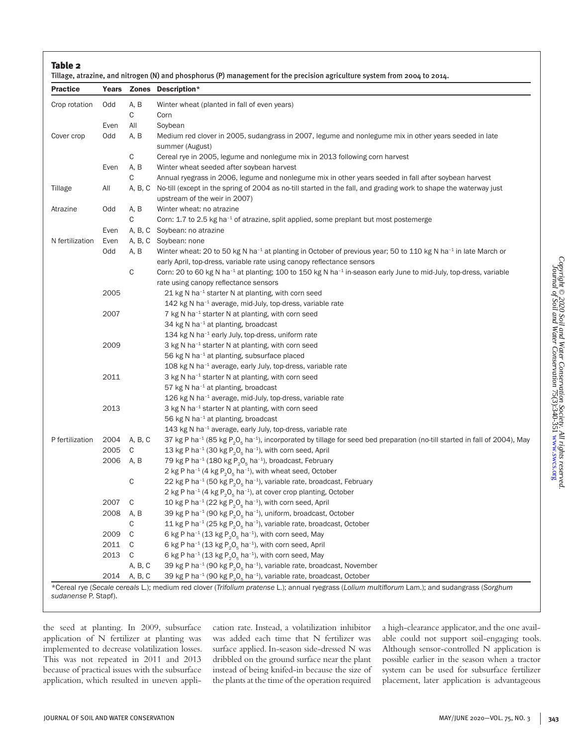| <b>Practice</b> | Years |         | Zones Description*                                                                                                                                                        |
|-----------------|-------|---------|---------------------------------------------------------------------------------------------------------------------------------------------------------------------------|
| Crop rotation   | Odd   | A, B    | Winter wheat (planted in fall of even years)                                                                                                                              |
|                 |       | C       | Corn                                                                                                                                                                      |
|                 | Even  | All     | Soybean                                                                                                                                                                   |
| Cover crop      | Odd   | A, B    | Medium red clover in 2005, sudangrass in 2007, legume and nonlegume mix in other years seeded in late                                                                     |
|                 |       |         | summer (August)                                                                                                                                                           |
|                 |       | С       | Cereal rye in 2005, legume and nonlegume mix in 2013 following corn harvest                                                                                               |
|                 | Even  | A, B    | Winter wheat seeded after soybean harvest                                                                                                                                 |
|                 |       | C       | Annual ryegrass in 2006, legume and nonlegume mix in other years seeded in fall after soybean harvest                                                                     |
| Tillage         | All   | A, B, C | No-till (except in the spring of 2004 as no-till started in the fall, and grading work to shape the waterway just                                                         |
|                 |       |         | upstream of the weir in 2007)                                                                                                                                             |
| Atrazine        | Odd   | A, B    | Winter wheat: no atrazine                                                                                                                                                 |
|                 |       | C       | Corn: 1.7 to 2.5 kg ha <sup>-1</sup> of atrazine, split applied, some preplant but most postemerge                                                                        |
|                 | Even  |         | A, B, C Soybean: no atrazine                                                                                                                                              |
| N fertilization | Even  |         | A, B, C Soybean: none                                                                                                                                                     |
|                 | Odd   | A, B    | Winter wheat: 20 to 50 kg N ha <sup>-1</sup> at planting in October of previous year; 50 to 110 kg N ha <sup>-1</sup> in late March or                                    |
|                 |       |         | early April, top-dress, variable rate using canopy reflectance sensors                                                                                                    |
|                 |       | C       | Corn: 20 to 60 kg N ha <sup>-1</sup> at planting; 100 to 150 kg N ha <sup>-1</sup> in-season early June to mid-July, top-dress, variable                                  |
|                 |       |         | rate using canopy reflectance sensors                                                                                                                                     |
|                 | 2005  |         | 21 kg N ha <sup>-1</sup> starter N at planting, with corn seed                                                                                                            |
|                 |       |         | 142 kg N ha <sup>-1</sup> average, mid-July, top-dress, variable rate                                                                                                     |
|                 | 2007  |         | 7 kg N ha <sup>-1</sup> starter N at planting, with corn seed                                                                                                             |
|                 |       |         | 34 kg N ha <sup>-1</sup> at planting, broadcast                                                                                                                           |
|                 |       |         | 134 kg N ha <sup>-1</sup> early July, top-dress, uniform rate                                                                                                             |
|                 | 2009  |         | 3 kg N ha <sup>-1</sup> starter N at planting, with corn seed                                                                                                             |
|                 |       |         | 56 kg N ha <sup>-1</sup> at planting, subsurface placed                                                                                                                   |
|                 |       |         | 108 kg N ha <sup>-1</sup> average, early July, top-dress, variable rate                                                                                                   |
|                 | 2011  |         | 3 kg N ha <sup>-1</sup> starter N at planting, with corn seed                                                                                                             |
|                 |       |         | 57 kg N ha <sup><math>-1</math></sup> at planting, broadcast                                                                                                              |
|                 |       |         | 126 kg N ha <sup>-1</sup> average, mid-July, top-dress, variable rate                                                                                                     |
|                 | 2013  |         | 3 kg N ha <sup>-1</sup> starter N at planting, with corn seed                                                                                                             |
|                 |       |         | 56 kg N ha <sup>-1</sup> at planting, broadcast                                                                                                                           |
|                 |       |         | 143 kg N ha <sup>-1</sup> average, early July, top-dress, variable rate                                                                                                   |
| P fertilization | 2004  | A, B, C | 37 kg P ha <sup>-1</sup> (85 kg P <sub>2</sub> O <sub>5</sub> ha <sup>-1</sup> ), incorporated by tillage for seed bed preparation (no-till started in fall of 2004), May |
|                 | 2005  | C       | 13 kg P ha <sup>-1</sup> (30 kg P <sub>2</sub> O <sub>5</sub> ha <sup>-1</sup> ), with corn seed, April                                                                   |
|                 | 2006  | A, B    | 79 kg P ha <sup>-1</sup> (180 kg P <sub>2</sub> O <sub>5</sub> ha <sup>-1</sup> ), broadcast, February                                                                    |
|                 |       |         | 2 kg P ha <sup>-1</sup> (4 kg P <sub>2</sub> O <sub>5</sub> ha <sup>-1</sup> ), with wheat seed, October                                                                  |
|                 |       | C       | 22 kg P ha <sup>-1</sup> (50 kg P <sub>2</sub> O <sub>s</sub> ha <sup>-1</sup> ), variable rate, broadcast, February                                                      |
|                 |       |         | 2 kg P ha <sup>-1</sup> (4 kg $P_2O_5$ ha <sup>-1</sup> ), at cover crop planting, October                                                                                |
|                 | 2007  | C       | 10 kg P ha <sup>-1</sup> (22 kg P <sub>2</sub> O <sub>5</sub> ha <sup>-1</sup> ), with corn seed, April                                                                   |
|                 | 2008  | A, B    | 39 kg P ha <sup>-1</sup> (90 kg P <sub>2</sub> O <sub>5</sub> ha <sup>-1</sup> ), uniform, broadcast, October                                                             |
|                 |       | С       | 11 kg P ha <sup>-1</sup> (25 kg $P_2O_5$ ha <sup>-1</sup> ), variable rate, broadcast, October                                                                            |
|                 | 2009  | C       | 6 kg P ha <sup>-1</sup> (13 kg P <sub>2</sub> O <sub>5</sub> ha <sup>-1</sup> ), with corn seed, May                                                                      |
|                 | 2011  | C       | 6 kg P ha <sup>-1</sup> (13 kg P <sub>2</sub> O <sub>5</sub> ha <sup>-1</sup> ), with corn seed, April                                                                    |
|                 | 2013  | C       | 6 kg P ha <sup>-1</sup> (13 kg P <sub>2</sub> O <sub>5</sub> ha <sup>-1</sup> ), with corn seed, May                                                                      |
|                 |       | A, B, C | 39 kg P ha <sup>-1</sup> (90 kg P <sub>2</sub> O <sub>5</sub> ha <sup>-1</sup> ), variable rate, broadcast, November                                                      |
|                 | 2014  | A, B, C | 39 kg P ha <sup>-1</sup> (90 kg P <sub>2</sub> O <sub>5</sub> ha <sup>-1</sup> ), variable rate, broadcast, October                                                       |

\*Cereal rye (*Secale cereals* L.); medium red clover (*Trifolium pratense* L.); annual ryegrass (*Lolium multiflorum* Lam.); and sudangrass (*Sorghum sudanense* P. Stapf).

the seed at planting. In 2009, subsurface application of N fertilizer at planting was implemented to decrease volatilization losses. This was not repeated in 2011 and 2013 because of practical issues with the subsurface application, which resulted in uneven application rate. Instead, a volatilization inhibitor was added each time that N fertilizer was surface applied. In-season side-dressed N was dribbled on the ground surface near the plant instead of being knifed-in because the size of the plants at the time of the operation required a high-clearance applicator, and the one available could not support soil-engaging tools. Although sensor-controlled N application is possible earlier in the season when a tractor system can be used for subsurface fertilizer placement, later application is advantageous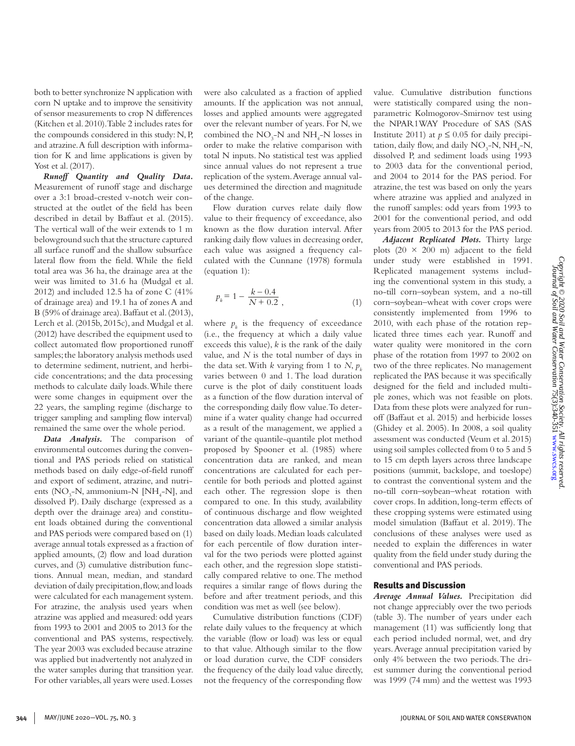both to better synchronize N application with corn N uptake and to improve the sensitivity of sensor measurements to crop N differences (Kitchen et al. 2010). Table 2 includes rates for the compounds considered in this study: N, P, and atrazine. A full description with information for K and lime applications is given by Yost et al. (2017).

*Runoff Quantity and Quality Data.*  Measurement of runoff stage and discharge over a 3:1 broad-crested v-notch weir constructed at the outlet of the field has been described in detail by Baffaut et al. (2015). The vertical wall of the weir extends to 1 m belowground such that the structure captured all surface runoff and the shallow subsurface lateral flow from the field. While the field total area was 36 ha, the drainage area at the weir was limited to 31.6 ha (Mudgal et al. 2012) and included 12.5 ha of zone C (41% of drainage area) and 19.1 ha of zones A and B (59% of drainage area). Baffaut et al. (2013), Lerch et al. (2015b, 2015c), and Mudgal et al. (2012) have described the equipment used to collect automated flow proportioned runoff samples; the laboratory analysis methods used to determine sediment, nutrient, and herbicide concentrations; and the data processing methods to calculate daily loads. While there were some changes in equipment over the 22 years, the sampling regime (discharge to trigger sampling and sampling flow interval) remained the same over the whole period.

*Data Analysis.* The comparison of environmental outcomes during the conventional and PAS periods relied on statistical methods based on daily edge-of-field runoff and export of sediment, atrazine, and nutrients  $(NO<sub>3</sub>-N, ammonium-N [NH<sub>4</sub>-N],$  and dissolved P). Daily discharge (expressed as a depth over the drainage area) and constituent loads obtained during the conventional and PAS periods were compared based on (1) average annual totals expressed as a fraction of applied amounts, (2) flow and load duration curves, and (3) cumulative distribution functions. Annual mean, median, and standard deviation of daily precipitation, flow, and loads were calculated for each management system. For atrazine, the analysis used years when atrazine was applied and measured: odd years from 1993 to 2001 and 2005 to 2013 for the conventional and PAS systems, respectively. The year 2003 was excluded because atrazine was applied but inadvertently not analyzed in the water samples during that transition year. For other variables, all years were used. Losses

were also calculated as a fraction of applied amounts. If the application was not annual, losses and applied amounts were aggregated over the relevant number of years. For N, we combined the  $NO_3$ -N and  $NH_4$ -N losses in order to make the relative comparison with total N inputs. No statistical test was applied since annual values do not represent a true replication of the system. Average annual values determined the direction and magnitude of the change.

Flow duration curves relate daily flow value to their frequency of exceedance, also known as the flow duration interval. After ranking daily flow values in decreasing order, each value was assigned a frequency calculated with the Cunnane (1978) formula (equation 1):

$$
p_k = 1 - \frac{k - 0.4}{N + 0.2}, \tag{1}
$$

where  $p_k$  is the frequency of exceedance (i.e., the frequency at which a daily value exceeds this value), *k* is the rank of the daily value, and *N* is the total number of days in the data set. With  $k$  varying from 1 to  $N$ ,  $p_k$ varies between 0 and 1. The load duration curve is the plot of daily constituent loads as a function of the flow duration interval of the corresponding daily flow value. To determine if a water quality change had occurred as a result of the management, we applied a variant of the quantile-quantile plot method proposed by Spooner et al. (1985) where concentration data are ranked, and mean concentrations are calculated for each percentile for both periods and plotted against each other. The regression slope is then compared to one. In this study, availability of continuous discharge and flow weighted concentration data allowed a similar analysis based on daily loads. Median loads calculated for each percentile of flow duration interval for the two periods were plotted against each other, and the regression slope statistically compared relative to one. The method requires a similar range of flows during the before and after treatment periods, and this condition was met as well (see below).

Cumulative distribution functions (CDF) relate daily values to the frequency at which the variable (flow or load) was less or equal to that value. Although similar to the flow or load duration curve, the CDF considers the frequency of the daily load value directly, not the frequency of the corresponding flow

value. Cumulative distribution functions were statistically compared using the nonparametric Kolmogorov-Smirnov test using the NPAR1WAY Procedure of SAS (SAS Institute 2011) at  $p \le 0.05$  for daily precipitation, daily flow, and daily  $NO_3$ -N,  $NH_4$ -N, dissolved P, and sediment loads using 1993 to 2003 data for the conventional period, and 2004 to 2014 for the PAS period. For atrazine, the test was based on only the years where atrazine was applied and analyzed in the runoff samples: odd years from 1993 to 2001 for the conventional period, and odd years from 2005 to 2013 for the PAS period.

*Adjacent Replicated Plots.* Thirty large plots  $(20 \times 200 \text{ m})$  adjacent to the field under study were established in 1991. Replicated management systems including the conventional system in this study, a no-till corn–soybean system, and a no-till corn–soybean–wheat with cover crops were consistently implemented from 1996 to 2010, with each phase of the rotation replicated three times each year. Runoff and water quality were monitored in the corn phase of the rotation from 1997 to 2002 on two of the three replicates. No management replicated the PAS because it was specifically designed for the field and included multiple zones, which was not feasible on plots. Data from these plots were analyzed for runoff (Baffaut et al. 2015) and herbicide losses (Ghidey et al. 2005). In 2008, a soil quality assessment was conducted (Veum et al. 2015) using soil samples collected from 0 to 5 and 5 to 15 cm depth layers across three landscape positions (summit, backslope, and toeslope) to contrast the conventional system and the no-till corn–soybean–wheat rotation with cover crops. In addition, long-term effects of these cropping systems were estimated using model simulation (Baffaut et al. 2019). The conclusions of these analyses were used as needed to explain the differences in water quality from the field under study during the conventional and PAS periods.

## Results and Discussion

*Average Annual Values.* Precipitation did not change appreciably over the two periods (table 3). The number of years under each management (11) was sufficiently long that each period included normal, wet, and dry years. Average annual precipitation varied by only 4% between the two periods. The driest summer during the conventional period was 1999 (74 mm) and the wettest was 1993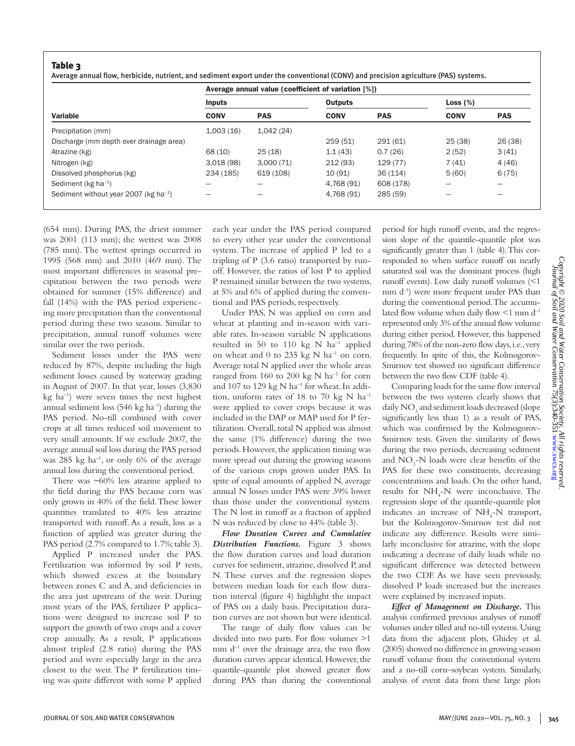## Table 3

Average annual flow, herbicide, nutrient, and sediment export under the conventional (CONV) and precision agriculture (PAS) systems.

|                                                   | Average annual value (coefficient of variation [%]) |            |                |            |             |            |
|---------------------------------------------------|-----------------------------------------------------|------------|----------------|------------|-------------|------------|
|                                                   | Inputs                                              |            | <b>Outputs</b> |            | Loss $(\%)$ |            |
| <b>Variable</b>                                   | <b>CONV</b>                                         | <b>PAS</b> | <b>CONV</b>    | <b>PAS</b> | <b>CONV</b> | <b>PAS</b> |
| Precipitation (mm)                                | 1,003(16)                                           | 1,042(24)  |                |            |             |            |
| Discharge (mm depth over drainage area)           |                                                     |            | 259(51)        | 291 (61)   | 25(38)      | 26(38)     |
| Atrazine (kg)                                     | 68 (10)                                             | 25(18)     | 1.1(43)        | 0.7(26)    | 2(52)       | 3(41)      |
| Nitrogen (kg)                                     | 3,018(98)                                           | 3,000(71)  | 212(93)        | 129(77)    | 7(41)       | 4(46)      |
| Dissolved phosphorus (kg)                         | 234 (185)                                           | 619 (108)  | 10 (91)        | 36(114)    | 5(60)       | 6(75)      |
| Sediment ( $kg$ ha <sup>-1</sup> )                |                                                     |            | 4,768 (91)     | 608 (178)  | —           | —          |
| Sediment without year 2007 (kg ha <sup>-1</sup> ) |                                                     |            | 4,768 (91)     | 285 (59)   |             |            |

(654 mm). During PAS, the driest summer was 2001 (113 mm); the wettest was 2008 (785 mm). The wettest springs occurred in 1995 (568 mm) and 2010 (469 mm). The most important differences in seasonal precipitation between the two periods were obtained for summer (15% difference) and fall (14%) with the PAS period experiencing more precipitation than the conventional period during these two seasons. Similar to precipitation, annual runoff volumes were similar over the two periods.

Sediment losses under the PAS were reduced by 87%, despite including the high sediment losses caused by waterway grading in August of 2007. In that year, losses (3,830  $kg$  ha<sup>-1</sup>) were seven times the next highest annual sediment loss  $(546 \text{ kg ha}^{-1})$  during the PAS period. No-till combined with cover crops at all times reduced soil movement to very small amounts. If we exclude 2007, the average annual soil loss during the PAS period was  $285 \text{ kg } \text{ha}^{-1}$ , or only 6% of the average annual loss during the conventional period.

There was  $~60\%$  less atrazine applied to the field during the PAS because corn was only grown in 40% of the field. These lower quantities translated to 40% less atrazine transported with runoff. As a result, loss as a function of applied was greater during the PAS period (2.7% compared to 1.7%; table 3).

Applied P increased under the PAS. Fertilization was informed by soil P tests, which showed excess at the boundary between zones C and A, and deficiencies in the area just upstream of the weir. During most years of the PAS, fertilizer P applications were designed to increase soil P to support the growth of two crops and a cover crop annually. As a result, P applications almost tripled (2.8 ratio) during the PAS period and were especially large in the area closest to the weir. The P fertilization timing was quite different with some P applied

each year under the PAS period compared to every other year under the conventional system. The increase of applied P led to a tripling of P (3.6 ratio) transported by runoff. However, the ratios of lost P to applied P remained similar between the two systems, at 5% and 6% of applied during the conventional and PAS periods, respectively.

Under PAS, N was applied on corn and wheat at planting and in-season with variable rates. In-season variable N applications resulted in 50 to 110 kg N  $ha^{-1}$  applied on wheat and 0 to 235 kg N  $ha^{-1}$  on corn. Average total N applied over the whole areas ranged from 160 to 200 kg N  $ha^{-1}$  for corn and 107 to 129 kg N ha<sup>-1</sup> for wheat. In addition, uniform rates of 18 to 70 kg N  $ha^{-1}$ were applied to cover crops because it was included in the DAP or MAP used for P fertilization. Overall, total N applied was almost the same (1% difference) during the two periods. However, the application timing was more spread out during the growing seasons of the various crops grown under PAS. In spite of equal amounts of applied N, average annual N losses under PAS were 39% lower than those under the conventional system. The N lost in runoff as a fraction of applied N was reduced by close to 44% (table 3).

*Flow Duration Curves and Cumulative Distribution Functions.* Figure 3 shows the flow duration curves and load duration curves for sediment, atrazine, dissolved P, and N. These curves and the regression slopes between median loads for each flow duration interval (figure 4) highlight the impact of PAS on a daily basis. Precipitation duration curves are not shown but were identical.

The range of daily flow values can be divided into two parts. For flow volumes >1 mm  $d^{-1}$  over the drainage area, the two flow duration curves appear identical. However, the quantile-quantile plot showed greater flow during PAS than during the conventional period for high runoff events, and the regression slope of the quantile-quantile plot was significantly greater than 1 (table 4). This corresponded to when surface runoff on nearly saturated soil was the dominant process (high runoff events). Low daily runoff volumes (<1 mm d<sup>-1</sup>) were more frequent under PAS than during the conventional period. The accumulated flow volume when daily flow  $\leq 1$  mm d<sup>-1</sup> represented only 3% of the annual flow volume during either period. However, this happened during 78% of the non-zero flow days, i.e., very frequently. In spite of this, the Kolmogorov-Smirnov test showed no significant difference between the two flow CDF (table 4).

Comparing loads for the same flow interval between the two systems clearly shows that daily  $\mathrm{NO}_\mathrm{3}$  and sediment loads decreased (slope significantly less than 1) as a result of PAS, which was confirmed by the Kolmogorov-Smirnov tests. Given the similarity of flows during the two periods, decreasing sediment and  $NO_3$ - $N$  loads were clear benefits of the PAS for these two constituents, decreasing concentrations and loads. On the other hand, results for  $NH_{4}$ -N were inconclusive. The regression slope of the quantile-quantile plot indicates an increase of  $NH_4$ -N transport, but the Kolmogorov-Smirnov test did not indicate any difference. Results were similarly inconclusive for atrazine, with the slope indicating a decrease of daily loads while no significant difference was detected between the two CDF. As we have seen previously, dissolved P loads increased but the increases were explained by increased inputs.

*Effect of Management on Discharge.* This analysis confirmed previous analyses of runoff volumes under tilled and no-till systems. Using data from the adjacent plots, Ghidey et al. (2005) showed no difference in growing season runoff volume from the conventional system and a no-till corn–soybean system. Similarly, analysis of event data from these large plots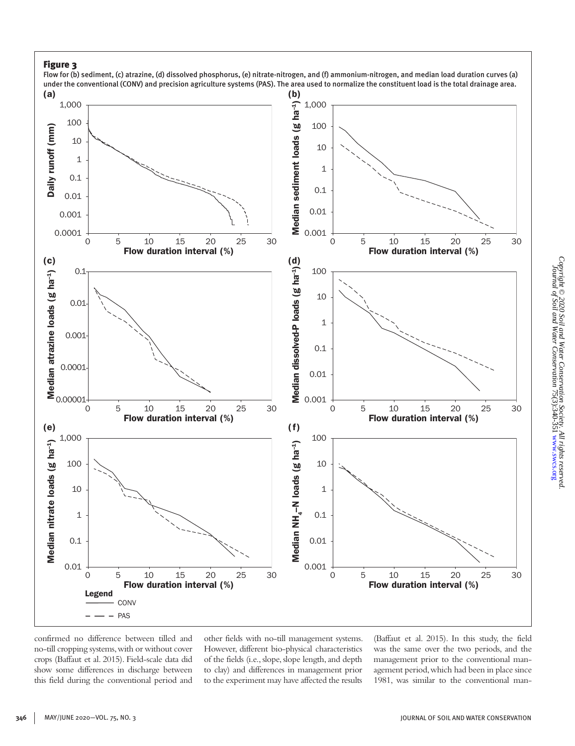

confirmed no difference between tilled and no-till cropping systems, with or without cover crops (Baffaut et al. 2015). Field-scale data did show some differences in discharge between this field during the conventional period and other fields with no-till management systems. However, different bio-physical characteristics of the fields (i.e., slope, slope length, and depth to clay) and differences in management prior to the experiment may have affected the results (Baffaut et al. 2015). In this study, the field was the same over the two periods, and the management prior to the conventional management period, which had been in place since 1981, was similar to the conventional man-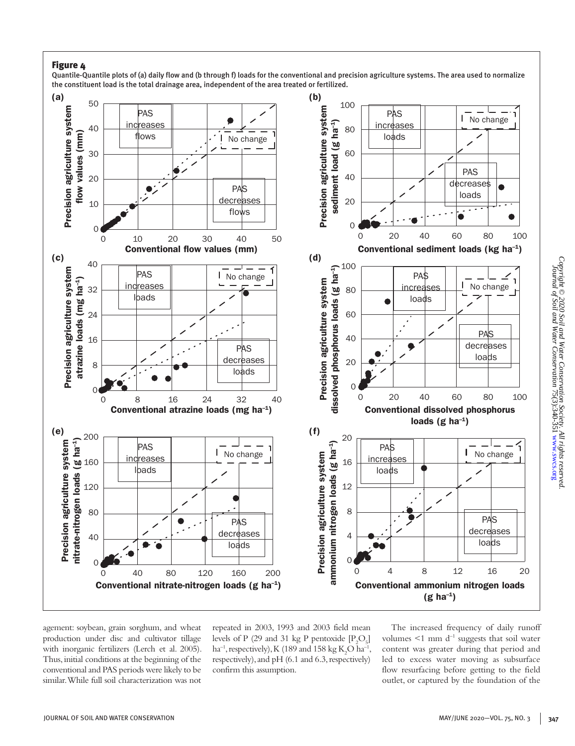## Figure 4

Quantile-Quantile plots of (a) daily flow and (b through f) loads for the conventional and precision agriculture systems. The area used to normalize the constituent load is the total drainage area, independent of the area treated or fertilized.



agement: soybean, grain sorghum, and wheat production under disc and cultivator tillage with inorganic fertilizers (Lerch et al. 2005). Thus, initial conditions at the beginning of the conventional and PAS periods were likely to be similar. While full soil characterization was not repeated in 2003, 1993 and 2003 field mean levels of P (29 and 31 kg P pentoxide  $[P_2O_5]$  $ha^{-1}$ , respectively), K (189 and 158 kg K<sub>2</sub>O  $ha^{-1}$ , respectively), and pH (6.1 and 6.3, respectively) confirm this assumption.

The increased frequency of daily runoff volumes  $\leq 1$  mm  $d^{-1}$  suggests that soil water content was greater during that period and led to excess water moving as subsurface flow resurfacing before getting to the field outlet, or captured by the foundation of the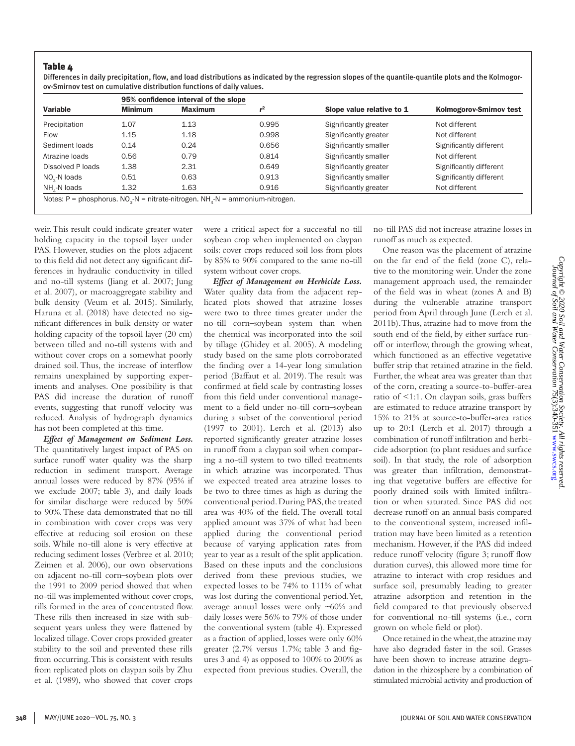## Table 4

Differences in daily precipitation, flow, and load distributions as indicated by the regression slopes of the quantile-quantile plots and the Kolmogorov-Smirnov test on cumulative distribution functions of daily values.

|                          | 95% confidence interval of the slope |                                                                                 |       |                           |                         |  |
|--------------------------|--------------------------------------|---------------------------------------------------------------------------------|-------|---------------------------|-------------------------|--|
| Variable                 | <b>Minimum</b>                       | <b>Maximum</b>                                                                  | $r^2$ | Slope value relative to 1 | Kolmogorov-Smirnov test |  |
| Precipitation            | 1.07                                 | 1.13                                                                            | 0.995 | Significantly greater     | Not different           |  |
| <b>Flow</b>              | 1.15                                 | 1.18                                                                            | 0.998 | Significantly greater     | Not different           |  |
| Sediment loads           | 0.14                                 | 0.24                                                                            | 0.656 | Significantly smaller     | Significantly different |  |
| Atrazine loads           | 0.56                                 | 0.79                                                                            | 0.814 | Significantly smaller     | Not different           |  |
| Dissolved P loads        | 1.38                                 | 2.31                                                                            | 0.649 | Significantly greater     | Significantly different |  |
| NO <sub>2</sub> -N loads | 0.51                                 | 0.63                                                                            | 0.913 | Significantly smaller     | Significantly different |  |
| $NHa-N$ loads            | 1.32                                 | 1.63                                                                            | 0.916 | Significantly greater     | Not different           |  |
|                          |                                      | Notes: P = phosphorus. $NO2-N$ = nitrate-nitrogen. $NH4-N$ = ammonium-nitrogen. |       |                           |                         |  |

weir. This result could indicate greater water holding capacity in the topsoil layer under PAS. However, studies on the plots adjacent to this field did not detect any significant differences in hydraulic conductivity in tilled and no-till systems (Jiang et al. 2007; Jung et al. 2007), or macroaggregate stability and bulk density (Veum et al. 2015). Similarly, Haruna et al. (2018) have detected no significant differences in bulk density or water holding capacity of the topsoil layer (20 cm) between tilled and no-till systems with and without cover crops on a somewhat poorly drained soil. Thus, the increase of interflow remains unexplained by supporting experiments and analyses. One possibility is that PAS did increase the duration of runoff events, suggesting that runoff velocity was reduced. Analysis of hydrograph dynamics has not been completed at this time.

*Effect of Management on Sediment Loss.*  The quantitatively largest impact of PAS on surface runoff water quality was the sharp reduction in sediment transport. Average annual losses were reduced by 87% (95% if we exclude 2007; table 3), and daily loads for similar discharge were reduced by 50% to 90%. These data demonstrated that no-till in combination with cover crops was very effective at reducing soil erosion on these soils. While no-till alone is very effective at reducing sediment losses (Verbree et al. 2010; Zeimen et al. 2006), our own observations on adjacent no-till corn–soybean plots over the 1991 to 2009 period showed that when no-till was implemented without cover crops, rills formed in the area of concentrated flow. These rills then increased in size with subsequent years unless they were flattened by localized tillage. Cover crops provided greater stability to the soil and prevented these rills from occurring. This is consistent with results from replicated plots on claypan soils by Zhu et al. (1989), who showed that cover crops

were a critical aspect for a successful no-till soybean crop when implemented on claypan soils: cover crops reduced soil loss from plots by 85% to 90% compared to the same no-till system without cover crops.

*Effect of Management on Herbicide Loss.* Water quality data from the adjacent replicated plots showed that atrazine losses were two to three times greater under the no-till corn–soybean system than when the chemical was incorporated into the soil by tillage (Ghidey et al. 2005). A modeling study based on the same plots corroborated the finding over a 14-year long simulation period (Baffaut et al. 2019). The result was confirmed at field scale by contrasting losses from this field under conventional management to a field under no-till corn–soybean during a subset of the conventional period (1997 to 2001). Lerch et al. (2013) also reported significantly greater atrazine losses in runoff from a claypan soil when comparing a no-till system to two tilled treatments in which atrazine was incorporated. Thus we expected treated area atrazine losses to be two to three times as high as during the conventional period. During PAS, the treated area was 40% of the field. The overall total applied amount was 37% of what had been applied during the conventional period because of varying application rates from year to year as a result of the split application. Based on these inputs and the conclusions derived from these previous studies, we expected losses to be 74% to 111% of what was lost during the conventional period. Yet, average annual losses were only ~60% and daily losses were 56% to 79% of those under the conventional system (table 4). Expressed as a fraction of applied, losses were only 60% greater (2.7% versus 1.7%; table 3 and figures 3 and 4) as opposed to 100% to 200% as expected from previous studies. Overall, the

no-till PAS did not increase atrazine losses in runoff as much as expected.

One reason was the placement of atrazine on the far end of the field (zone C), relative to the monitoring weir. Under the zone management approach used, the remainder of the field was in wheat (zones A and B) during the vulnerable atrazine transport period from April through June (Lerch et al. 2011b). Thus, atrazine had to move from the south end of the field, by either surface runoff or interflow, through the growing wheat, which functioned as an effective vegetative buffer strip that retained atrazine in the field. Further, the wheat area was greater than that of the corn, creating a source-to-buffer-area ratio of <1:1. On claypan soils, grass buffers are estimated to reduce atrazine transport by 15% to 21% at source-to-buffer-area ratios up to 20:1 (Lerch et al. 2017) through a combination of runoff infiltration and herbicide adsorption (to plant residues and surface soil). In that study, the role of adsorption was greater than infiltration, demonstrating that vegetative buffers are effective for poorly drained soils with limited infiltration or when saturated. Since PAS did not decrease runoff on an annual basis compared to the conventional system, increased infiltration may have been limited as a retention mechanism. However, if the PAS did indeed reduce runoff velocity (figure 3; runoff flow duration curves), this allowed more time for atrazine to interact with crop residues and surface soil, presumably leading to greater atrazine adsorption and retention in the field compared to that previously observed for conventional no-till systems (i.e., corn grown on whole field or plot).

Once retained in the wheat, the atrazine may have also degraded faster in the soil. Grasses have been shown to increase atrazine degradation in the rhizosphere by a combination of stimulated microbial activity and production of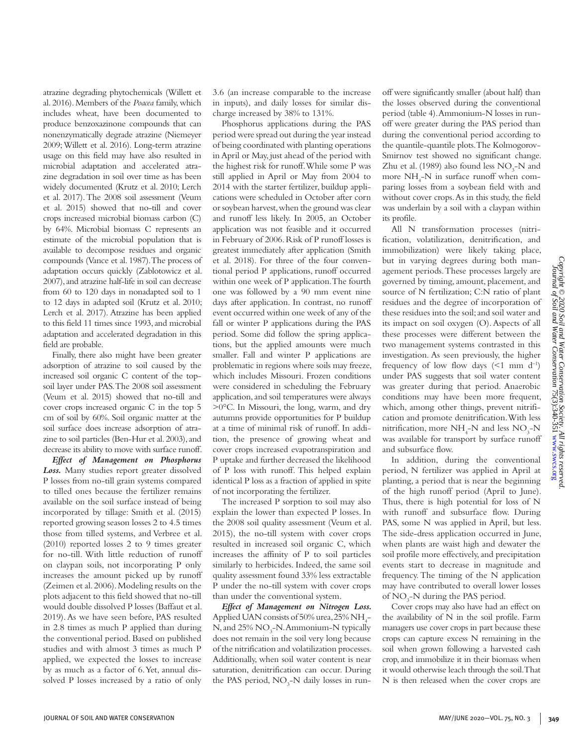atrazine degrading phytochemicals (Willett et al. 2016). Members of the *Poacea* family, which includes wheat, have been documented to produce benzoxazinone compounds that can nonenzymatically degrade atrazine (Niemeyer 2009; Willett et al. 2016). Long-term atrazine usage on this field may have also resulted in microbial adaptation and accelerated atrazine degradation in soil over time as has been widely documented (Krutz et al. 2010; Lerch et al. 2017). The 2008 soil assessment (Veum et al. 2015) showed that no-till and cover crops increased microbial biomass carbon (C) by 64%. Microbial biomass C represents an estimate of the microbial population that is available to decompose residues and organic compounds (Vance et al. 1987). The process of adaptation occurs quickly (Zablotowicz et al. 2007), and atrazine half-life in soil can decrease from 60 to 120 days in nonadapted soil to 1 to 12 days in adapted soil (Krutz et al. 2010; Lerch et al. 2017). Atrazine has been applied to this field 11 times since 1993, and microbial adaptation and accelerated degradation in this field are probable.

Finally, there also might have been greater adsorption of atrazine to soil caused by the increased soil organic C content of the topsoil layer under PAS. The 2008 soil assessment (Veum et al. 2015) showed that no-till and cover crops increased organic C in the top 5 cm of soil by 60%. Soil organic matter at the soil surface does increase adsorption of atrazine to soil particles (Ben-Hur et al. 2003), and decrease its ability to move with surface runoff.

*Effect of Management on Phosphorus Loss.* Many studies report greater dissolved P losses from no-till grain systems compared to tilled ones because the fertilizer remains available on the soil surface instead of being incorporated by tillage: Smith et al. (2015) reported growing season losses 2 to 4.5 times those from tilled systems, and Verbree et al. (2010) reported losses 2 to 9 times greater for no-till. With little reduction of runoff on claypan soils, not incorporating P only increases the amount picked up by runoff (Zeimen et al. 2006). Modeling results on the plots adjacent to this field showed that no-till would double dissolved P losses (Baffaut et al. 2019). As we have seen before, PAS resulted in 2.8 times as much P applied than during the conventional period. Based on published studies and with almost 3 times as much P applied, we expected the losses to increase by as much as a factor of 6. Yet, annual dissolved P losses increased by a ratio of only

3.6 (an increase comparable to the increase in inputs), and daily losses for similar discharge increased by 38% to 131%.

Phosphorus applications during the PAS period were spread out during the year instead of being coordinated with planting operations in April or May, just ahead of the period with the highest risk for runoff. While some P was still applied in April or May from 2004 to 2014 with the starter fertilizer, buildup applications were scheduled in October after corn or soybean harvest, when the ground was clear and runoff less likely. In 2005, an October application was not feasible and it occurred in February of 2006. Risk of P runoff losses is greatest immediately after application (Smith et al. 2018). For three of the four conventional period P applications, runoff occurred within one week of P application. The fourth one was followed by a 90 mm event nine days after application. In contrast, no runoff event occurred within one week of any of the fall or winter P applications during the PAS period. Some did follow the spring applications, but the applied amounts were much smaller. Fall and winter P applications are problematic in regions where soils may freeze, which includes Missouri. Frozen conditions were considered in scheduling the February application, and soil temperatures were always >0°C. In Missouri, the long, warm, and dry autumns provide opportunities for P buildup at a time of minimal risk of runoff. In addition, the presence of growing wheat and cover crops increased evapotranspiration and P uptake and further decreased the likelihood of P loss with runoff. This helped explain identical P loss as a fraction of applied in spite of not incorporating the fertilizer.

The increased P sorption to soil may also explain the lower than expected P losses. In the 2008 soil quality assessment (Veum et al. 2015), the no-till system with cover crops resulted in increased soil organic C, which increases the affinity of P to soil particles similarly to herbicides. Indeed, the same soil quality assessment found 33% less extractable P under the no-till system with cover crops than under the conventional system.

*Effect of Management on Nitrogen Loss.*  Applied UAN consists of 50% urea, 25% NH<sub>4</sub>-N, and 25%  $NO_3$ -N. Ammonium-N typically does not remain in the soil very long because of the nitrification and volatilization processes. Additionally, when soil water content is near saturation, denitrification can occur. During the PAS period,  $NO<sub>3</sub>$ -N daily losses in runoff were significantly smaller (about half) than the losses observed during the conventional period (table 4). Ammonium-N losses in runoff were greater during the PAS period than during the conventional period according to the quantile-quantile plots. The Kolmogorov-Smirnov test showed no significant change. Zhu et al. (1989) also found less  $\rm NO_3\text{-}N$  and more  $NH_{4}$ -N in surface runoff when comparing losses from a soybean field with and without cover crops. As in this study, the field was underlain by a soil with a claypan within its profile.

All N transformation processes (nitrification, volatilization, denitrification, and immobilization) were likely taking place, but in varying degrees during both management periods. These processes largely are governed by timing, amount, placement, and source of N fertilization; C:N ratio of plant residues and the degree of incorporation of these residues into the soil; and soil water and its impact on soil oxygen (O). Aspects of all these processes were different between the two management systems contrasted in this investigation. As seen previously, the higher frequency of low flow days  $\leq 1$  mm d<sup>-1</sup>) under PAS suggests that soil water content was greater during that period. Anaerobic conditions may have been more frequent, which, among other things, prevent nitrification and promote denitrification. With less nitrification, more  $NH_{4}$ -N and less  $NO_{3}$ -N was available for transport by surface runoff and subsurface flow.

In addition, during the conventional period, N fertilizer was applied in April at planting, a period that is near the beginning of the high runoff period (April to June). Thus, there is high potential for loss of N with runoff and subsurface flow. During PAS, some N was applied in April, but less. The side-dress application occurred in June, when plants are waist high and dewater the soil profile more effectively, and precipitation events start to decrease in magnitude and frequency. The timing of the N application may have contributed to overall lower losses of  $NO<sub>3</sub>-N$  during the PAS period.

Cover crops may also have had an effect on the availability of N in the soil profile. Farm managers use cover crops in part because these crops can capture excess N remaining in the soil when grown following a harvested cash crop, and immobilize it in their biomass when it would otherwise leach through the soil. That N is then released when the cover crops are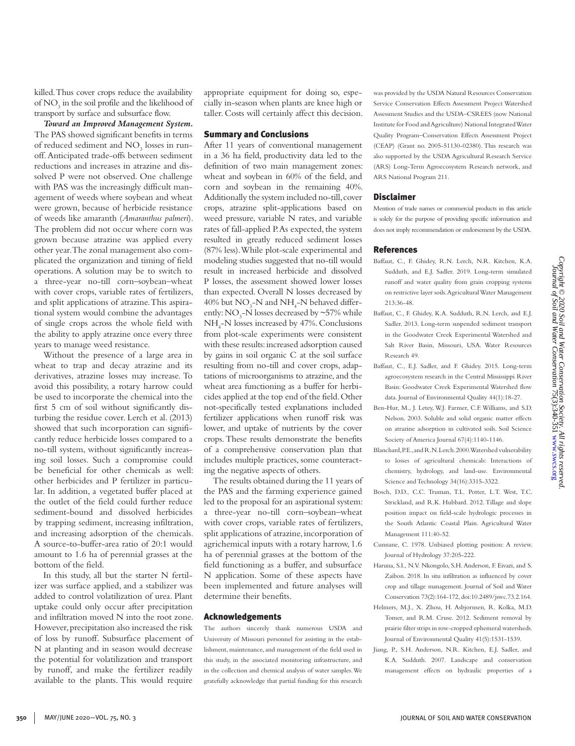killed. Thus cover crops reduce the availability of  $\mathrm{NO}_3$  in the soil profile and the likelihood of transport by surface and subsurface flow.

*Toward an Improved Management System.*  The PAS showed significant benefits in terms of reduced sediment and  $\mathrm{NO}_3$  losses in runoff. Anticipated trade-offs between sediment reductions and increases in atrazine and dissolved P were not observed. One challenge with PAS was the increasingly difficult management of weeds where soybean and wheat were grown, because of herbicide resistance of weeds like amaranth (*Amaranthus palmeri*). The problem did not occur where corn was grown because atrazine was applied every other year. The zonal management also complicated the organization and timing of field operations. A solution may be to switch to a three-year no-till corn–soybean–wheat with cover crops, variable rates of fertilizers, and split applications of atrazine. This aspirational system would combine the advantages of single crops across the whole field with the ability to apply atrazine once every three years to manage weed resistance.

Without the presence of a large area in wheat to trap and decay atrazine and its derivatives, atrazine losses may increase. To avoid this possibility, a rotary harrow could be used to incorporate the chemical into the first 5 cm of soil without significantly disturbing the residue cover. Lerch et al. (2013) showed that such incorporation can significantly reduce herbicide losses compared to a no-till system, without significantly increasing soil losses. Such a compromise could be beneficial for other chemicals as well: other herbicides and P fertilizer in particular. In addition, a vegetated buffer placed at the outlet of the field could further reduce sediment-bound and dissolved herbicides by trapping sediment, increasing infiltration, and increasing adsorption of the chemicals. A source-to-buffer-area ratio of 20:1 would amount to 1.6 ha of perennial grasses at the bottom of the field.

In this study, all but the starter N fertilizer was surface applied, and a stabilizer was added to control volatilization of urea. Plant uptake could only occur after precipitation and infiltration moved N into the root zone. However, precipitation also increased the risk of loss by runoff. Subsurface placement of N at planting and in season would decrease the potential for volatilization and transport by runoff, and make the fertilizer readily available to the plants. This would require appropriate equipment for doing so, especially in-season when plants are knee high or taller. Costs will certainly affect this decision.

## Summary and Conclusions

After 11 years of conventional management in a 36 ha field, productivity data led to the definition of two main management zones: wheat and soybean in 60% of the field, and corn and soybean in the remaining 40%. Additionally the system included no-till, cover crops, atrazine split-applications based on weed pressure, variable N rates, and variable rates of fall-applied P. As expected, the system resulted in greatly reduced sediment losses (87% less). While plot-scale experimental and modeling studies suggested that no-till would result in increased herbicide and dissolved P losses, the assessment showed lower losses than expected. Overall N losses decreased by 40% but  $\rm NO_3\text{-}N$  and  $\rm NH_4\text{-}N$  behaved differently:  $NO_3$ - $N$  losses decreased by ~57% while NH4 -N losses increased by 47%. Conclusions from plot-scale experiments were consistent with these results: increased adsorption caused by gains in soil organic C at the soil surface resulting from no-till and cover crops, adaptations of microorganisms to atrazine, and the wheat area functioning as a buffer for herbicides applied at the top end of the field. Other not-specifically tested explanations included fertilizer applications when runoff risk was lower, and uptake of nutrients by the cover crops. These results demonstrate the benefits of a comprehensive conservation plan that includes multiple practices, some counteracting the negative aspects of others.

The results obtained during the 11 years of the PAS and the farming experience gained led to the proposal for an aspirational system: a three-year no-till corn–soybean–wheat with cover crops, variable rates of fertilizers, split applications of atrazine, incorporation of agrichemical inputs with a rotary harrow, 1.6 ha of perennial grasses at the bottom of the field functioning as a buffer, and subsurface N application. Some of these aspects have been implemented and future analyses will determine their benefits.

#### Acknowledgements

The authors sincerely thank numerous USDA and University of Missouri personnel for assisting in the establishment, maintenance, and management of the field used in this study, in the associated monitoring infrastructure, and in the collection and chemical analysis of water samples. We gratefully acknowledge that partial funding for this research

was provided by the USDA Natural Resources Conservation Service Conservation Effects Assessment Project Watershed Assessment Studies and the USDA–CSREES (now National Institute for Food and Agriculture) National Integrated Water Quality Program–Conservation Effects Assessment Project (CEAP) (Grant no. 2005-51130-02380). This research was also supported by the USDA Agricultural Research Service (ARS) Long-Term Agroecosystem Research network, and ARS National Program 211.

### Disclaimer

Mention of trade names or commercial products in this article is solely for the purpose of providing specific information and does not imply recommendation or endorsement by the USDA.

#### References

- Baffaut, C., F. Ghidey, R.N. Lerch, N.R. Kitchen, K.A. Sudduth, and E.J. Sadler. 2019. Long-term simulated runoff and water quality from grain cropping systems on restrictive layer soils. Agricultural Water Management 213:36-48.
- Baffaut, C., F. Ghidey, K.A. Sudduth, R.N. Lerch, and E.J. Sadler. 2013. Long-term suspended sediment transport in the Goodwater Creek Experimental Watershed and Salt River Basin, Missouri, USA. Water Resources Research 49.
- Baffaut, C., E.J. Sadler, and F. Ghidey. 2015. Long-term agroecosystem research in the Central Mississippi River Basin: Goodwater Creek Experimental Watershed flow data. Journal of Environmental Quality 44(1):18-27.
- Ben-Hur, M., J. Letey, W.J. Farmer, C.F. Williams, and S.D. Nelson. 2003. Soluble and solid organic matter effects on atrazine adsorption in cultivated soils. Soil Science Society of America Journal 67(4):1140-1146.
- Blanchard, P.E., and R.N. Lerch. 2000. Watershed vulnerability to losses of agricultural chemicals: Interactions of chemistry, hydrology, and land-use. Environmental Science and Technology 34(16):3315-3322.
- Bosch, D.D., C.C. Truman, T.L. Potter, L.T. West, T.C. Strickland, and R.K. Hubbard. 2012. Tillage and slope position impact on field-scale hydrologic processes in the South Atlantic Coastal Plain. Agricultural Water Management 111:40-52.
- Cunnane, C. 1978. Unbiased plotting position: A review. Journal of Hydrology 37:205-222.
- Haruna, S.I., N.V. Nkongolo, S.H. Anderson, F. Eivazi, and S. Zaibon. 2018. In situ infiltration as influenced by cover crop and tillage management. Journal of Soil and Water Conservation 73(2):164-172, doi:10.2489/jswc.73.2.164.
- Helmers, M.J., X. Zhou, H. Asbjornsen, R. Kolka, M.D. Tomer, and R.M. Cruse. 2012. Sediment removal by prairie filter strips in row-cropped ephemeral watersheds. Journal of Environmental Quality 41(5):1531-1539.
- Jiang, P., S.H. Anderson, N.R. Kitchen, E.J. Sadler, and K.A. Sudduth. 2007. Landscape and conservation management effects on hydraulic properties of a